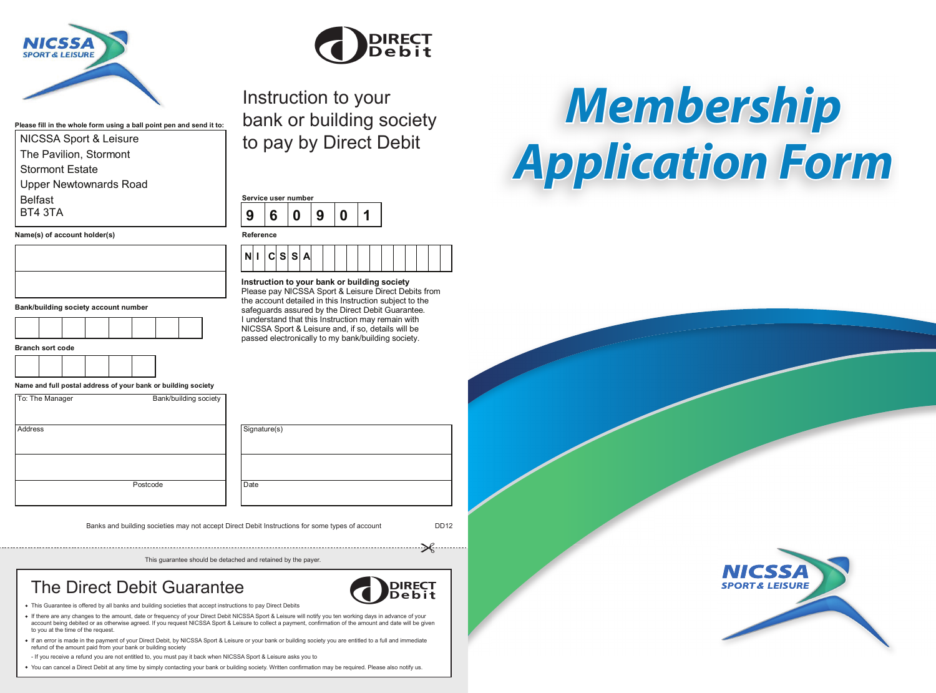

NICSSA Sport & Leisure The Pavilion, Stormont Stormont Estate

Upper Newtownards Road

 $Name(s)$  of account holder(s)

**Please fill in the whole form using a ball point pen and send it to:**



Instruction to your bank or building society to pay by Direct Debit

| 6 |  |  |
|---|--|--|
|   |  |  |



**Instruction to your bank or building society** Please pay NICSSA Sport & Leisure Direct Debits from the account detailed in this Instruction subject to the safequards assured by the Direct Debit Guarantee. I understand that this Instruction may remain with NICSSA Sport & Leisure and, if so, details will be passed electronically to my bank/building society.

**Bank/building society account number**

| <b>Branch sort code</b> |  |  |
|-------------------------|--|--|
|-------------------------|--|--|

Belfast BT4 3TA



**Name and full postal address of your bank or building society**

| To: The Manager | Bank/building society |
|-----------------|-----------------------|
| Address         |                       |

Signature(s) Postcode Date

Banks and building societies may not accept Direct Debit Instructions for some types of account DD12

**DIRECT** 

ebit

This guarantee should be detached and retained by the payer.

## The Direct Debit Guarantee



- If there are any changes to the amount, date or frequency of your Direct Debit NICSSA Sport & Leisure will notify you ten working days in advance of your account being debited or as otherwise agreed. If you request NICSSA Sport & Leisure to collect a payment, confirmation of the amount and date will be given to you at the time of the request.
- If an error is made in the payment of your Direct Debit, by NICSSA Sport & Leisure or your bank or building society you are entitled to a full and immediate refund of the amount paid from your bank or building society

- If you receive a refund you are not entitled to, you must pay it back when NICSSA Sport & Leisure asks you to

• You can cancel a Direct Debit at any time by simply contacting your bank or building society. Written confirmation may be required. Please also notify us.

*Membership Application Form*

**SPORT & LEISURE**